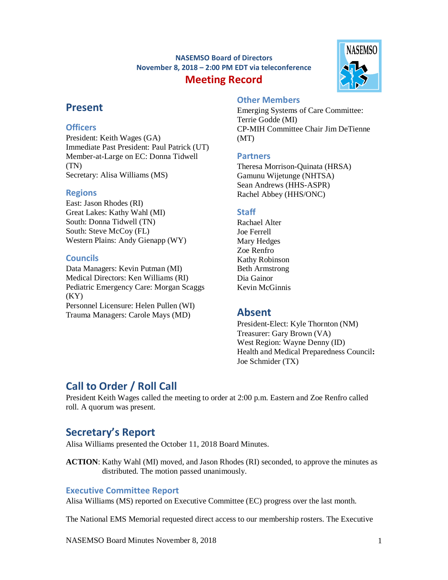## **NASEMSO Board of Directors November 8, 2018 – 2:00 PM EDT via teleconference Meeting Record**



## **Present**

## **Officers**

President: Keith Wages (GA) Immediate Past President: Paul Patrick (UT) Member-at-Large on EC: Donna Tidwell (TN) Secretary: Alisa Williams (MS)

## **Regions**

East: Jason Rhodes (RI) Great Lakes: Kathy Wahl (MI) South: Donna Tidwell (TN) South: Steve McCoy (FL) Western Plains: Andy Gienapp (WY)

## **Councils**

Data Managers: Kevin Putman (MI) Medical Directors: Ken Williams (RI) Pediatric Emergency Care: Morgan Scaggs  $(KY)$ Personnel Licensure: Helen Pullen (WI) Trauma Managers: Carole Mays (MD)

## **Other Members**

Emerging Systems of Care Committee: Terrie Godde (MI) CP-MIH Committee Chair Jim DeTienne (MT)

## **Partners**

Theresa Morrison-Quinata (HRSA) Gamunu Wijetunge (NHTSA) Sean Andrews (HHS-ASPR) Rachel Abbey (HHS/ONC)

## **Staff**

Rachael Alter Joe Ferrell Mary Hedges Zoe Renfro Kathy Robinson Beth Armstrong Dia Gainor Kevin McGinnis

## **Absent**

President-Elect: Kyle Thornton (NM) Treasurer: Gary Brown (VA) West Region: Wayne Denny (ID) Health and Medical Preparedness Council**:**  Joe Schmider (TX)

# **Call to Order / Roll Call**

President Keith Wages called the meeting to order at 2:00 p.m. Eastern and Zoe Renfro called roll. A quorum was present.

# **Secretary's Report**

Alisa Williams presented the October 11, 2018 Board Minutes.

**ACTION**: Kathy Wahl (MI) moved, and Jason Rhodes (RI) seconded, to approve the minutes as distributed. The motion passed unanimously.

## **Executive Committee Report**

Alisa Williams (MS) reported on Executive Committee (EC) progress over the last month.

The National EMS Memorial requested direct access to our membership rosters. The Executive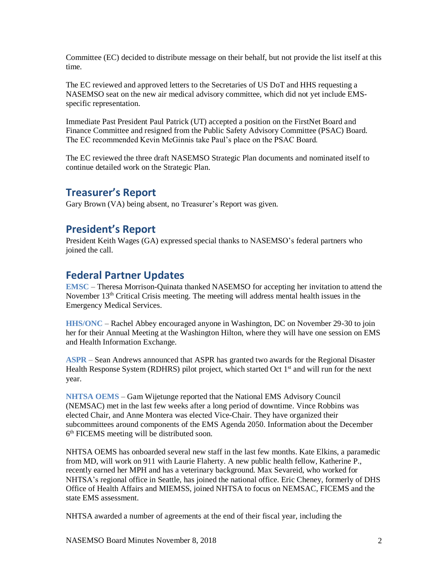Committee (EC) decided to distribute message on their behalf, but not provide the list itself at this time.

The EC reviewed and approved letters to the Secretaries of US DoT and HHS requesting a NASEMSO seat on the new air medical advisory committee, which did not yet include EMSspecific representation.

Immediate Past President Paul Patrick (UT) accepted a position on the FirstNet Board and Finance Committee and resigned from the Public Safety Advisory Committee (PSAC) Board. The EC recommended Kevin McGinnis take Paul's place on the PSAC Board.

The EC reviewed the three draft NASEMSO Strategic Plan documents and nominated itself to continue detailed work on the Strategic Plan.

## **Treasurer's Report**

Gary Brown (VA) being absent, no Treasurer's Report was given.

## **President's Report**

President Keith Wages (GA) expressed special thanks to NASEMSO's federal partners who joined the call.

## **Federal Partner Updates**

**EMSC** – Theresa Morrison-Quinata thanked NASEMSO for accepting her invitation to attend the November 13<sup>th</sup> Critical Crisis meeting. The meeting will address mental health issues in the Emergency Medical Services.

**HHS/ONC** – Rachel Abbey encouraged anyone in Washington, DC on November 29-30 to join her for their Annual Meeting at the Washington Hilton, where they will have one session on EMS and Health Information Exchange.

**ASPR** – Sean Andrews announced that ASPR has granted two awards for the Regional Disaster Health Response System (RDHRS) pilot project, which started Oct  $1<sup>st</sup>$  and will run for the next year.

**NHTSA OEMS** – Gam Wijetunge reported that the National EMS Advisory Council (NEMSAC) met in the last few weeks after a long period of downtime. Vince Robbins was elected Chair, and Anne Montera was elected Vice-Chair. They have organized their subcommittees around components of the EMS Agenda 2050. Information about the December 6<sup>th</sup> FICEMS meeting will be distributed soon.

NHTSA OEMS has onboarded several new staff in the last few months. Kate Elkins, a paramedic from MD, will work on 911 with Laurie Flaherty. A new public health fellow, Katherine P., recently earned her MPH and has a veterinary background. Max Sevareid, who worked for NHTSA's regional office in Seattle, has joined the national office. Eric Cheney, formerly of DHS Office of Health Affairs and MIEMSS, joined NHTSA to focus on NEMSAC, FICEMS and the state EMS assessment.

NHTSA awarded a number of agreements at the end of their fiscal year, including the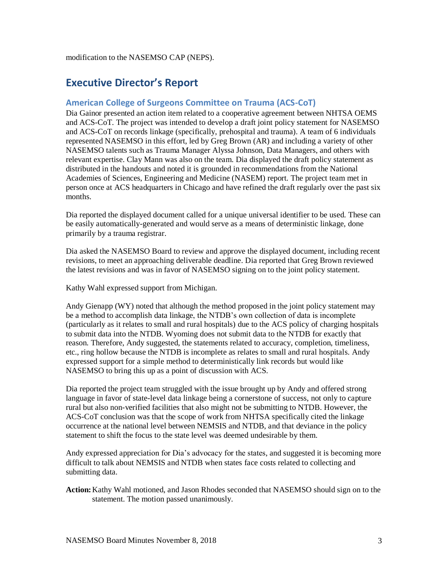## **Executive Director's Report**

## **American College of Surgeons Committee on Trauma (ACS-CoT)**

Dia Gainor presented an action item related to a cooperative agreement between NHTSA OEMS and ACS-CoT. The project was intended to develop a draft joint policy statement for NASEMSO and ACS-CoT on records linkage (specifically, prehospital and trauma). A team of 6 individuals represented NASEMSO in this effort, led by Greg Brown (AR) and including a variety of other NASEMSO talents such as Trauma Manager Alyssa Johnson, Data Managers, and others with relevant expertise. Clay Mann was also on the team. Dia displayed the draft policy statement as distributed in the handouts and noted it is grounded in recommendations from the National Academies of Sciences, Engineering and Medicine (NASEM) report. The project team met in person once at ACS headquarters in Chicago and have refined the draft regularly over the past six months.

Dia reported the displayed document called for a unique universal identifier to be used. These can be easily automatically-generated and would serve as a means of deterministic linkage, done primarily by a trauma registrar.

Dia asked the NASEMSO Board to review and approve the displayed document, including recent revisions, to meet an approaching deliverable deadline. Dia reported that Greg Brown reviewed the latest revisions and was in favor of NASEMSO signing on to the joint policy statement.

Kathy Wahl expressed support from Michigan.

Andy Gienapp (WY) noted that although the method proposed in the joint policy statement may be a method to accomplish data linkage, the NTDB's own collection of data is incomplete (particularly as it relates to small and rural hospitals) due to the ACS policy of charging hospitals to submit data into the NTDB. Wyoming does not submit data to the NTDB for exactly that reason. Therefore, Andy suggested, the statements related to accuracy, completion, timeliness, etc., ring hollow because the NTDB is incomplete as relates to small and rural hospitals. Andy expressed support for a simple method to deterministically link records but would like NASEMSO to bring this up as a point of discussion with ACS.

Dia reported the project team struggled with the issue brought up by Andy and offered strong language in favor of state-level data linkage being a cornerstone of success, not only to capture rural but also non-verified facilities that also might not be submitting to NTDB. However, the ACS-CoT conclusion was that the scope of work from NHTSA specifically cited the linkage occurrence at the national level between NEMSIS and NTDB, and that deviance in the policy statement to shift the focus to the state level was deemed undesirable by them.

Andy expressed appreciation for Dia's advocacy for the states, and suggested it is becoming more difficult to talk about NEMSIS and NTDB when states face costs related to collecting and submitting data.

**Action:**Kathy Wahl motioned, and Jason Rhodes seconded that NASEMSO should sign on to the statement. The motion passed unanimously.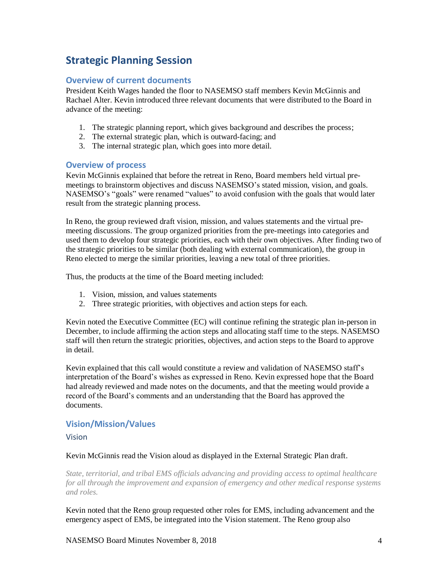# **Strategic Planning Session**

## **Overview of current documents**

President Keith Wages handed the floor to NASEMSO staff members Kevin McGinnis and Rachael Alter. Kevin introduced three relevant documents that were distributed to the Board in advance of the meeting:

- 1. The strategic planning report, which gives background and describes the process;
- 2. The external strategic plan, which is outward-facing; and
- 3. The internal strategic plan, which goes into more detail.

### **Overview of process**

Kevin McGinnis explained that before the retreat in Reno, Board members held virtual premeetings to brainstorm objectives and discuss NASEMSO's stated mission, vision, and goals. NASEMSO's "goals" were renamed "values" to avoid confusion with the goals that would later result from the strategic planning process.

In Reno, the group reviewed draft vision, mission, and values statements and the virtual premeeting discussions. The group organized priorities from the pre-meetings into categories and used them to develop four strategic priorities, each with their own objectives. After finding two of the strategic priorities to be similar (both dealing with external communication), the group in Reno elected to merge the similar priorities, leaving a new total of three priorities.

Thus, the products at the time of the Board meeting included:

- 1. Vision, mission, and values statements
- 2. Three strategic priorities, with objectives and action steps for each.

Kevin noted the Executive Committee (EC) will continue refining the strategic plan in-person in December, to include affirming the action steps and allocating staff time to the steps. NASEMSO staff will then return the strategic priorities, objectives, and action steps to the Board to approve in detail.

Kevin explained that this call would constitute a review and validation of NASEMSO staff's interpretation of the Board's wishes as expressed in Reno. Kevin expressed hope that the Board had already reviewed and made notes on the documents, and that the meeting would provide a record of the Board's comments and an understanding that the Board has approved the documents.

## **Vision/Mission/Values**

#### Vision

### Kevin McGinnis read the Vision aloud as displayed in the External Strategic Plan draft.

*State, territorial, and tribal EMS officials advancing and providing access to optimal healthcare for all through the improvement and expansion of emergency and other medical response systems and roles.*

Kevin noted that the Reno group requested other roles for EMS, including advancement and the emergency aspect of EMS, be integrated into the Vision statement. The Reno group also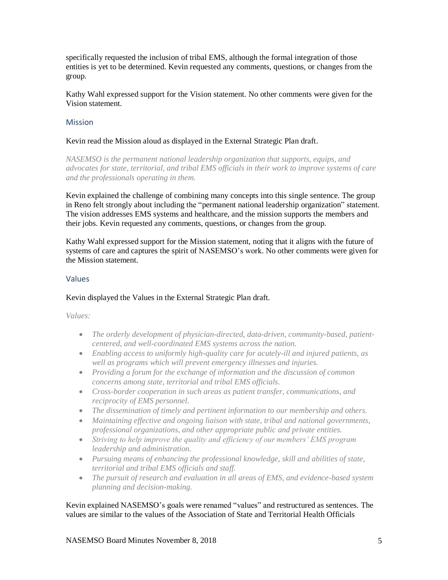specifically requested the inclusion of tribal EMS, although the formal integration of those entities is yet to be determined. Kevin requested any comments, questions, or changes from the group.

Kathy Wahl expressed support for the Vision statement. No other comments were given for the Vision statement.

### Mission

#### Kevin read the Mission aloud as displayed in the External Strategic Plan draft.

*NASEMSO is the permanent national leadership organization that supports, equips, and advocates for state, territorial, and tribal EMS officials in their work to improve systems of care and the professionals operating in them.*

Kevin explained the challenge of combining many concepts into this single sentence. The group in Reno felt strongly about including the "permanent national leadership organization" statement. The vision addresses EMS systems and healthcare, and the mission supports the members and their jobs. Kevin requested any comments, questions, or changes from the group.

Kathy Wahl expressed support for the Mission statement, noting that it aligns with the future of systems of care and captures the spirit of NASEMSO's work. No other comments were given for the Mission statement.

#### Values

### Kevin displayed the Values in the External Strategic Plan draft.

*Values:* 

- *The orderly development of physician-directed, data-driven, community-based, patientcentered, and well-coordinated EMS systems across the nation.*
- *Enabling access to uniformly high-quality care for acutely-ill and injured patients, as well as programs which will prevent emergency illnesses and injuries.*
- *Providing a forum for the exchange of information and the discussion of common concerns among state, territorial and tribal EMS officials.*
- *Cross-border cooperation in such areas as patient transfer, communications, and reciprocity of EMS personnel.*
- *The dissemination of timely and pertinent information to our membership and others.*
- *Maintaining effective and ongoing liaison with state, tribal and national governments, professional organizations, and other appropriate public and private entities.*
- *Striving to help improve the quality and efficiency of our members' EMS program leadership and administration.*
- *Pursuing means of enhancing the professional knowledge, skill and abilities of state, territorial and tribal EMS officials and staff.*
- *The pursuit of research and evaluation in all areas of EMS, and evidence-based system planning and decision-making.*

Kevin explained NASEMSO's goals were renamed "values" and restructured as sentences. The values are similar to the values of the Association of State and Territorial Health Officials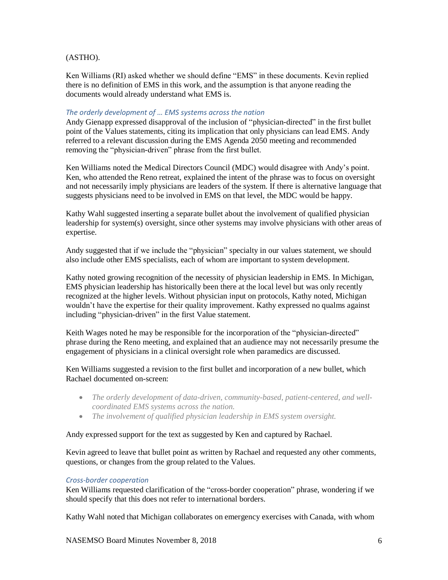### (ASTHO).

Ken Williams (RI) asked whether we should define "EMS" in these documents. Kevin replied there is no definition of EMS in this work, and the assumption is that anyone reading the documents would already understand what EMS is.

### *The orderly development of … EMS systems across the nation*

Andy Gienapp expressed disapproval of the inclusion of "physician-directed" in the first bullet point of the Values statements, citing its implication that only physicians can lead EMS. Andy referred to a relevant discussion during the EMS Agenda 2050 meeting and recommended removing the "physician-driven" phrase from the first bullet.

Ken Williams noted the Medical Directors Council (MDC) would disagree with Andy's point. Ken, who attended the Reno retreat, explained the intent of the phrase was to focus on oversight and not necessarily imply physicians are leaders of the system. If there is alternative language that suggests physicians need to be involved in EMS on that level, the MDC would be happy.

Kathy Wahl suggested inserting a separate bullet about the involvement of qualified physician leadership for system(s) oversight, since other systems may involve physicians with other areas of expertise.

Andy suggested that if we include the "physician" specialty in our values statement, we should also include other EMS specialists, each of whom are important to system development.

Kathy noted growing recognition of the necessity of physician leadership in EMS. In Michigan, EMS physician leadership has historically been there at the local level but was only recently recognized at the higher levels. Without physician input on protocols, Kathy noted, Michigan wouldn't have the expertise for their quality improvement. Kathy expressed no qualms against including "physician-driven" in the first Value statement.

Keith Wages noted he may be responsible for the incorporation of the "physician-directed" phrase during the Reno meeting, and explained that an audience may not necessarily presume the engagement of physicians in a clinical oversight role when paramedics are discussed.

Ken Williams suggested a revision to the first bullet and incorporation of a new bullet, which Rachael documented on-screen:

- The orderly development of data-driven, community-based, patient-centered, and well*coordinated EMS systems across the nation.*
- *The involvement of qualified physician leadership in EMS system oversight.*

#### Andy expressed support for the text as suggested by Ken and captured by Rachael.

Kevin agreed to leave that bullet point as written by Rachael and requested any other comments, questions, or changes from the group related to the Values.

#### *Cross-border cooperation*

Ken Williams requested clarification of the "cross-border cooperation" phrase, wondering if we should specify that this does not refer to international borders.

Kathy Wahl noted that Michigan collaborates on emergency exercises with Canada, with whom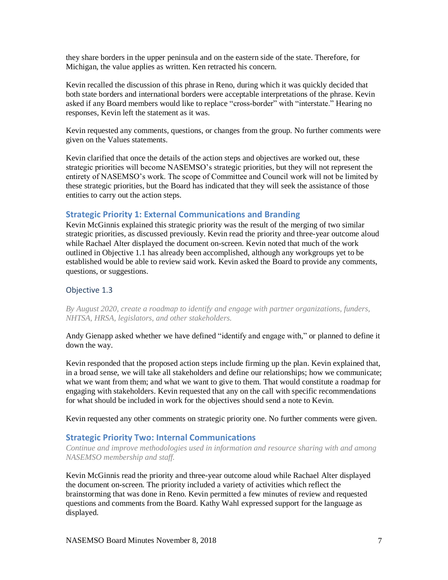they share borders in the upper peninsula and on the eastern side of the state. Therefore, for Michigan, the value applies as written. Ken retracted his concern.

Kevin recalled the discussion of this phrase in Reno, during which it was quickly decided that both state borders and international borders were acceptable interpretations of the phrase. Kevin asked if any Board members would like to replace "cross-border" with "interstate." Hearing no responses, Kevin left the statement as it was.

Kevin requested any comments, questions, or changes from the group. No further comments were given on the Values statements.

Kevin clarified that once the details of the action steps and objectives are worked out, these strategic priorities will become NASEMSO's strategic priorities, but they will not represent the entirety of NASEMSO's work. The scope of Committee and Council work will not be limited by these strategic priorities, but the Board has indicated that they will seek the assistance of those entities to carry out the action steps.

#### **Strategic Priority 1: External Communications and Branding**

Kevin McGinnis explained this strategic priority was the result of the merging of two similar strategic priorities, as discussed previously. Kevin read the priority and three-year outcome aloud while Rachael Alter displayed the document on-screen. Kevin noted that much of the work outlined in Objective 1.1 has already been accomplished, although any workgroups yet to be established would be able to review said work. Kevin asked the Board to provide any comments, questions, or suggestions.

### Objective 1.3

*By August 2020, create a roadmap to identify and engage with partner organizations, funders, NHTSA, HRSA, legislators, and other stakeholders.*

Andy Gienapp asked whether we have defined "identify and engage with," or planned to define it down the way.

Kevin responded that the proposed action steps include firming up the plan. Kevin explained that, in a broad sense, we will take all stakeholders and define our relationships; how we communicate; what we want from them; and what we want to give to them. That would constitute a roadmap for engaging with stakeholders. Kevin requested that any on the call with specific recommendations for what should be included in work for the objectives should send a note to Kevin.

Kevin requested any other comments on strategic priority one. No further comments were given.

### **Strategic Priority Two: Internal Communications**

*Continue and improve methodologies used in information and resource sharing with and among NASEMSO membership and staff.* 

Kevin McGinnis read the priority and three-year outcome aloud while Rachael Alter displayed the document on-screen. The priority included a variety of activities which reflect the brainstorming that was done in Reno. Kevin permitted a few minutes of review and requested questions and comments from the Board. Kathy Wahl expressed support for the language as displayed.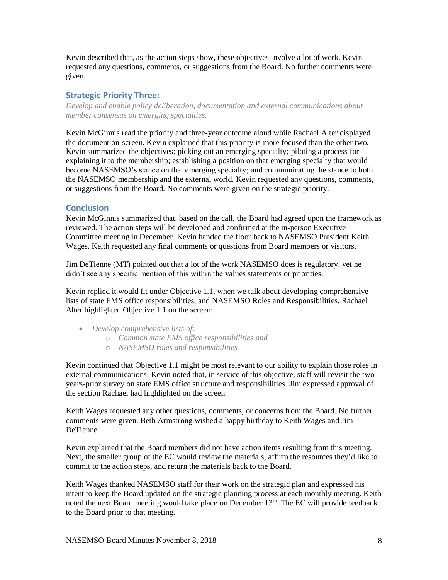Kevin described that, as the action steps show, these objectives involve a lot of work. Kevin requested any questions, comments, or suggestions from the Board. No further comments were given.

### **Strategic Priority Three:**

*Develop and enable policy deliberation, documentation and external communications about member consensus on emerging specialties.*

Kevin McGinnis read the priority and three-year outcome aloud while Rachael Alter displayed the document on-screen. Kevin explained that this priority is more focused than the other two. Kevin summarized the objectives: picking out an emerging specialty; piloting a process for explaining it to the membership; establishing a position on that emerging specialty that would become NASEMSO's stance on that emerging specialty; and communicating the stance to both the NASEMSO membership and the external world. Kevin requested any questions, comments, or suggestions from the Board. No comments were given on the strategic priority.

### **Conclusion**

Kevin McGinnis summarized that, based on the call, the Board had agreed upon the framework as reviewed. The action steps will be developed and confirmed at the in-person Executive Committee meeting in December. Kevin handed the floor back to NASEMSO President Keith Wages. Keith requested any final comments or questions from Board members or visitors.

Jim DeTienne (MT) pointed out that a lot of the work NASEMSO does is regulatory, yet he didn't see any specific mention of this within the values statements or priorities.

Kevin replied it would fit under Objective 1.1, when we talk about developing comprehensive lists of state EMS office responsibilities, and NASEMSO Roles and Responsibilities. Rachael Alter highlighted Objective 1.1 on the screen:

- *Develop comprehensive lists of:*
	- o *Common state EMS office responsibilities and*
	- o *NASEMSO roles and responsibilities*

Kevin continued that Objective 1.1 might be most relevant to our ability to explain those roles in external communications. Kevin noted that, in service of this objective, staff will revisit the twoyears-prior survey on state EMS office structure and responsibilities. Jim expressed approval of the section Rachael had highlighted on the screen.

Keith Wages requested any other questions, comments, or concerns from the Board. No further comments were given. Beth Armstrong wished a happy birthday to Keith Wages and Jim DeTienne.

Kevin explained that the Board members did not have action items resulting from this meeting. Next, the smaller group of the EC would review the materials, affirm the resources they'd like to commit to the action steps, and return the materials back to the Board.

Keith Wages thanked NASEMSO staff for their work on the strategic plan and expressed his intent to keep the Board updated on the strategic planning process at each monthly meeting. Keith noted the next Board meeting would take place on December 13<sup>th</sup>. The EC will provide feedback to the Board prior to that meeting.